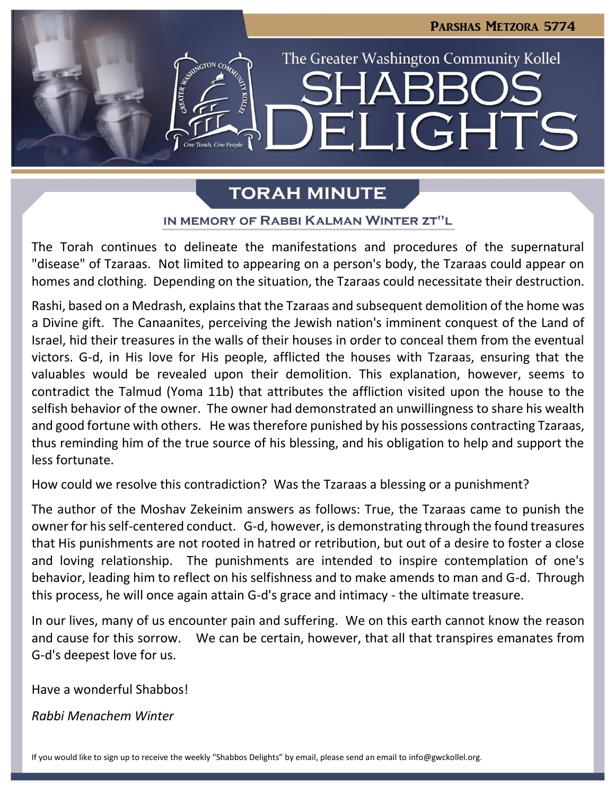

# **TORAH MINUTE**

## IN MEMORY OF RABBI KALMAN WINTER ZT"L

The Torah continues to delineate the manifestations and procedures of the supernatural "disease" of Tzaraas. Not limited to appearing on a person's body, the Tzaraas could appear on homes and clothing. Depending on the situation, the Tzaraas could necessitate their destruction.

Rashi, based on a Medrash, explains that the Tzaraas and subsequent demolition of the home was a Divine gift. The Canaanites, perceiving the Jewish nation's imminent conquest of the Land of Israel, hid their treasures in the walls of their houses in order to conceal them from the eventual victors. G-d, in His love for His people, afflicted the houses with Tzaraas, ensuring that the valuables would be revealed upon their demolition. This explanation, however, seems to contradict the Talmud (Yoma 11b) that attributes the affliction visited upon the house to the selfish behavior of the owner. The owner had demonstrated an unwillingness to share his wealth and good fortune with others. He was therefore punished by his possessions contracting Tzaraas, thus reminding him of the true source of his blessing, and his obligation to help and support the less fortunate.

How could we resolve this contradiction? Was the Tzaraas a blessing or a punishment?

The author of the Moshav Zekeinim answers as follows: True, the Tzaraas came to punish the owner for his self-centered conduct. G-d, however, is demonstrating through the found treasures that His punishments are not rooted in hatred or retribution, but out of a desire to foster a close and loving relationship. The punishments are intended to inspire contemplation of one's behavior, leading him to reflect on his selfishness and to make amends to man and G-d. Through this process, he will once again attain G-d's grace and intimacy - the ultimate treasure.

In our lives, many of us encounter pain and suffering. We on this earth cannot know the reason and cause for this sorrow. We can be certain, however, that all that transpires emanates from G-d's deepest love for us.

Have a wonderful Shabbos!

*Rabbi Menachem Winter*

If you would like to sign up to receive the weekly "Shabbos Delights" by email, please send an email to [info@gwckollel.org](mailto:info@gwckollel.org).